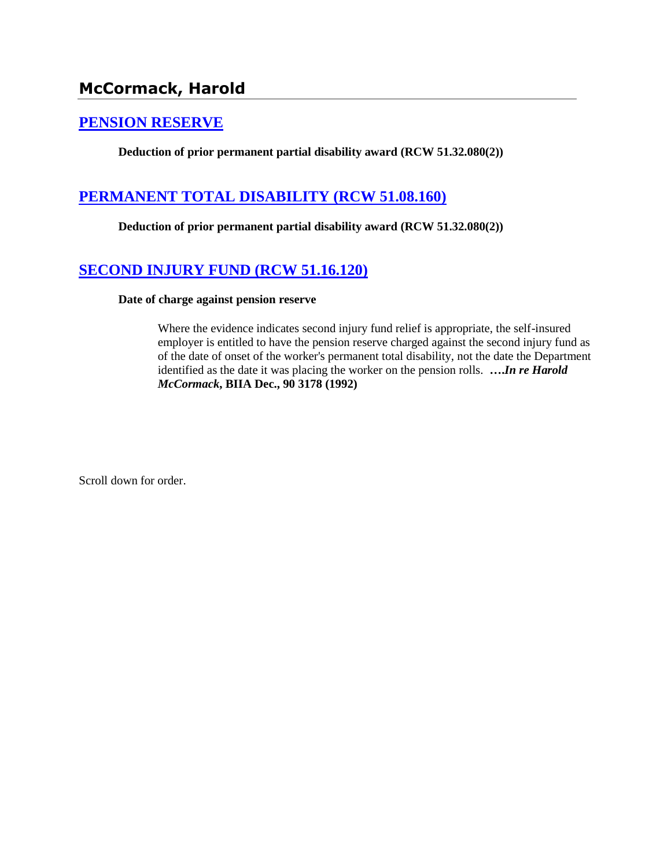# **McCormack, Harold**

## **[PENSION RESERVE](http://www.biia.wa.gov/SDSubjectIndex.html#PENSION_RESERVE)**

**Deduction of prior permanent partial disability award (RCW 51.32.080(2))**

## **[PERMANENT TOTAL DISABILITY \(RCW 51.08.160\)](http://www.biia.wa.gov/SDSubjectIndex.html#PERMANENT_TOTAL_DISABILITY)**

**Deduction of prior permanent partial disability award (RCW 51.32.080(2))**

## **[SECOND INJURY FUND \(RCW 51.16.120\)](http://www.biia.wa.gov/SDSubjectIndex.html#SECOND_INJURY_FUND)**

#### **Date of charge against pension reserve**

Where the evidence indicates second injury fund relief is appropriate, the self-insured employer is entitled to have the pension reserve charged against the second injury fund as of the date of onset of the worker's permanent total disability, not the date the Department identified as the date it was placing the worker on the pension rolls. **….***In re Harold McCormack***, BIIA Dec., 90 3178 (1992)**

Scroll down for order.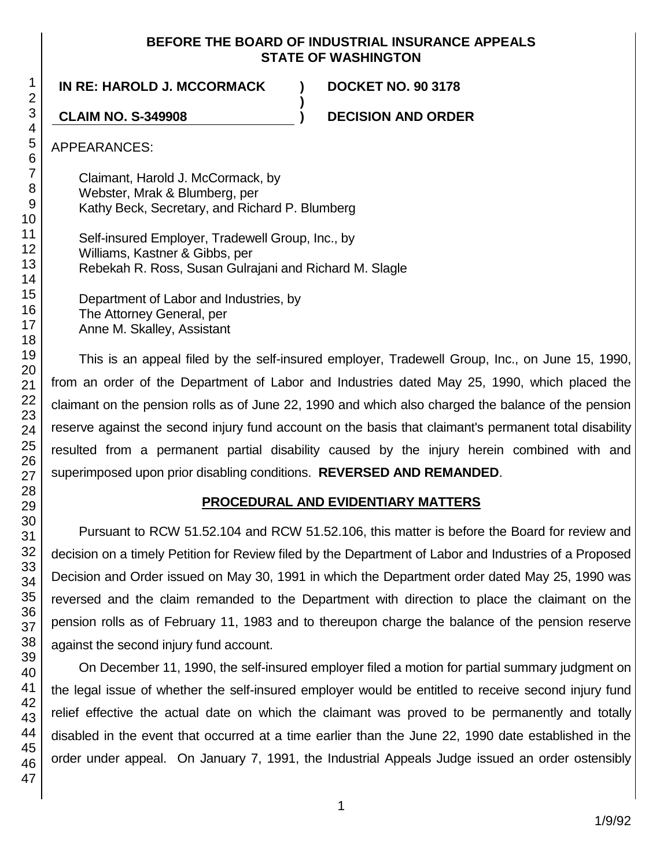#### **BEFORE THE BOARD OF INDUSTRIAL INSURANCE APPEALS STATE OF WASHINGTON**

**)**

**IN RE: HAROLD J. MCCORMACK ) DOCKET NO. 90 3178**

**CLAIM NO. S-349908 ) DECISION AND ORDER**

APPEARANCES:

Claimant, Harold J. McCormack, by Webster, Mrak & Blumberg, per Kathy Beck, Secretary, and Richard P. Blumberg

Self-insured Employer, Tradewell Group, Inc., by Williams, Kastner & Gibbs, per Rebekah R. Ross, Susan Gulrajani and Richard M. Slagle

Department of Labor and Industries, by The Attorney General, per Anne M. Skalley, Assistant

This is an appeal filed by the self-insured employer, Tradewell Group, Inc., on June 15, 1990, from an order of the Department of Labor and Industries dated May 25, 1990, which placed the claimant on the pension rolls as of June 22, 1990 and which also charged the balance of the pension reserve against the second injury fund account on the basis that claimant's permanent total disability resulted from a permanent partial disability caused by the injury herein combined with and superimposed upon prior disabling conditions. **REVERSED AND REMANDED**.

# **PROCEDURAL AND EVIDENTIARY MATTERS**

Pursuant to RCW 51.52.104 and RCW 51.52.106, this matter is before the Board for review and decision on a timely Petition for Review filed by the Department of Labor and Industries of a Proposed Decision and Order issued on May 30, 1991 in which the Department order dated May 25, 1990 was reversed and the claim remanded to the Department with direction to place the claimant on the pension rolls as of February 11, 1983 and to thereupon charge the balance of the pension reserve against the second injury fund account.

On December 11, 1990, the self-insured employer filed a motion for partial summary judgment on the legal issue of whether the self-insured employer would be entitled to receive second injury fund relief effective the actual date on which the claimant was proved to be permanently and totally disabled in the event that occurred at a time earlier than the June 22, 1990 date established in the order under appeal. On January 7, 1991, the Industrial Appeals Judge issued an order ostensibly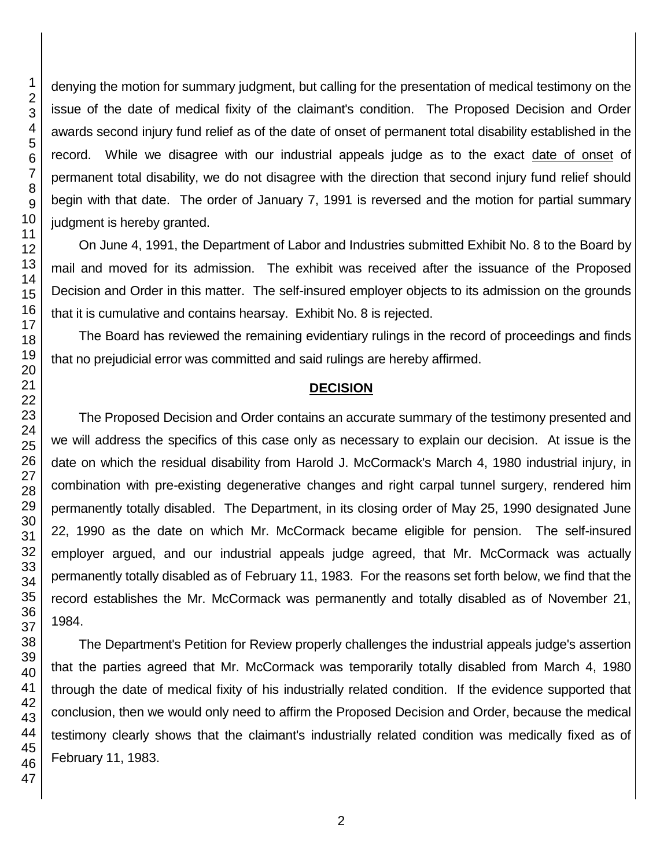denying the motion for summary judgment, but calling for the presentation of medical testimony on the issue of the date of medical fixity of the claimant's condition. The Proposed Decision and Order awards second injury fund relief as of the date of onset of permanent total disability established in the record. While we disagree with our industrial appeals judge as to the exact date of onset of permanent total disability, we do not disagree with the direction that second injury fund relief should begin with that date. The order of January 7, 1991 is reversed and the motion for partial summary judgment is hereby granted.

On June 4, 1991, the Department of Labor and Industries submitted Exhibit No. 8 to the Board by mail and moved for its admission. The exhibit was received after the issuance of the Proposed Decision and Order in this matter. The self-insured employer objects to its admission on the grounds that it is cumulative and contains hearsay. Exhibit No. 8 is rejected.

The Board has reviewed the remaining evidentiary rulings in the record of proceedings and finds that no prejudicial error was committed and said rulings are hereby affirmed.

#### **DECISION**

The Proposed Decision and Order contains an accurate summary of the testimony presented and we will address the specifics of this case only as necessary to explain our decision. At issue is the date on which the residual disability from Harold J. McCormack's March 4, 1980 industrial injury, in combination with pre-existing degenerative changes and right carpal tunnel surgery, rendered him permanently totally disabled. The Department, in its closing order of May 25, 1990 designated June 22, 1990 as the date on which Mr. McCormack became eligible for pension. The self-insured employer argued, and our industrial appeals judge agreed, that Mr. McCormack was actually permanently totally disabled as of February 11, 1983. For the reasons set forth below, we find that the record establishes the Mr. McCormack was permanently and totally disabled as of November 21, 1984.

The Department's Petition for Review properly challenges the industrial appeals judge's assertion that the parties agreed that Mr. McCormack was temporarily totally disabled from March 4, 1980 through the date of medical fixity of his industrially related condition. If the evidence supported that conclusion, then we would only need to affirm the Proposed Decision and Order, because the medical testimony clearly shows that the claimant's industrially related condition was medically fixed as of February 11, 1983.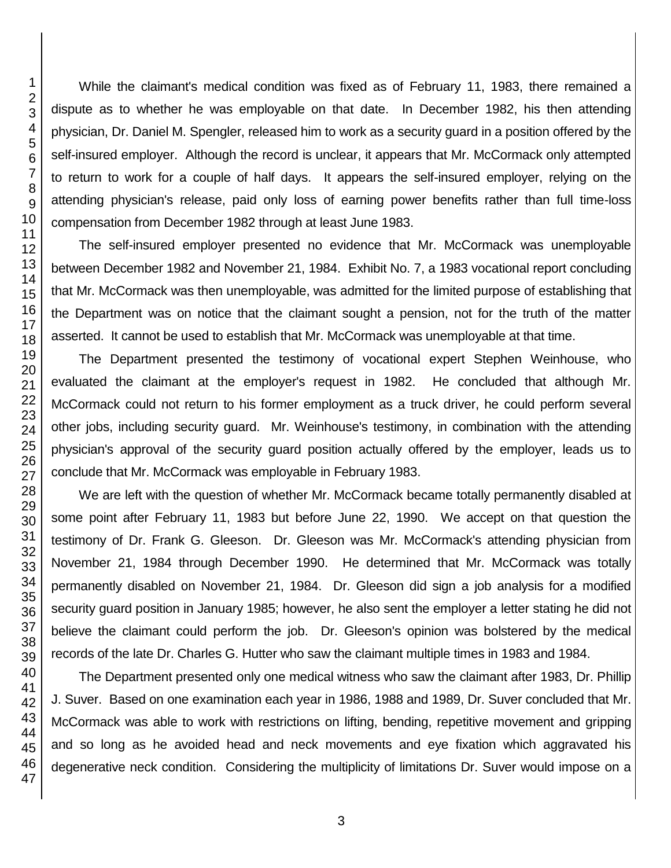While the claimant's medical condition was fixed as of February 11, 1983, there remained a dispute as to whether he was employable on that date. In December 1982, his then attending physician, Dr. Daniel M. Spengler, released him to work as a security guard in a position offered by the self-insured employer. Although the record is unclear, it appears that Mr. McCormack only attempted to return to work for a couple of half days. It appears the self-insured employer, relying on the attending physician's release, paid only loss of earning power benefits rather than full time-loss compensation from December 1982 through at least June 1983.

The self-insured employer presented no evidence that Mr. McCormack was unemployable between December 1982 and November 21, 1984. Exhibit No. 7, a 1983 vocational report concluding that Mr. McCormack was then unemployable, was admitted for the limited purpose of establishing that the Department was on notice that the claimant sought a pension, not for the truth of the matter asserted. It cannot be used to establish that Mr. McCormack was unemployable at that time.

The Department presented the testimony of vocational expert Stephen Weinhouse, who evaluated the claimant at the employer's request in 1982. He concluded that although Mr. McCormack could not return to his former employment as a truck driver, he could perform several other jobs, including security guard. Mr. Weinhouse's testimony, in combination with the attending physician's approval of the security guard position actually offered by the employer, leads us to conclude that Mr. McCormack was employable in February 1983.

We are left with the question of whether Mr. McCormack became totally permanently disabled at some point after February 11, 1983 but before June 22, 1990. We accept on that question the testimony of Dr. Frank G. Gleeson. Dr. Gleeson was Mr. McCormack's attending physician from November 21, 1984 through December 1990. He determined that Mr. McCormack was totally permanently disabled on November 21, 1984. Dr. Gleeson did sign a job analysis for a modified security guard position in January 1985; however, he also sent the employer a letter stating he did not believe the claimant could perform the job. Dr. Gleeson's opinion was bolstered by the medical records of the late Dr. Charles G. Hutter who saw the claimant multiple times in 1983 and 1984.

The Department presented only one medical witness who saw the claimant after 1983, Dr. Phillip J. Suver. Based on one examination each year in 1986, 1988 and 1989, Dr. Suver concluded that Mr. McCormack was able to work with restrictions on lifting, bending, repetitive movement and gripping and so long as he avoided head and neck movements and eye fixation which aggravated his degenerative neck condition. Considering the multiplicity of limitations Dr. Suver would impose on a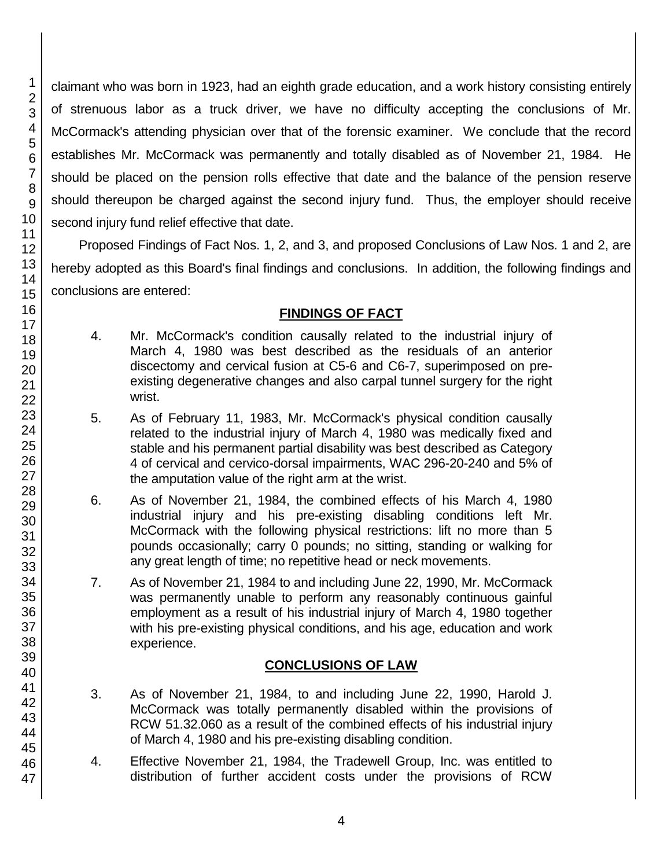claimant who was born in 1923, had an eighth grade education, and a work history consisting entirely of strenuous labor as a truck driver, we have no difficulty accepting the conclusions of Mr. McCormack's attending physician over that of the forensic examiner. We conclude that the record establishes Mr. McCormack was permanently and totally disabled as of November 21, 1984. He should be placed on the pension rolls effective that date and the balance of the pension reserve should thereupon be charged against the second injury fund. Thus, the employer should receive second injury fund relief effective that date.

Proposed Findings of Fact Nos. 1, 2, and 3, and proposed Conclusions of Law Nos. 1 and 2, are hereby adopted as this Board's final findings and conclusions. In addition, the following findings and conclusions are entered:

# **FINDINGS OF FACT**

- 4. Mr. McCormack's condition causally related to the industrial injury of March 4, 1980 was best described as the residuals of an anterior discectomy and cervical fusion at C5-6 and C6-7, superimposed on preexisting degenerative changes and also carpal tunnel surgery for the right wrist.
- 5. As of February 11, 1983, Mr. McCormack's physical condition causally related to the industrial injury of March 4, 1980 was medically fixed and stable and his permanent partial disability was best described as Category 4 of cervical and cervico-dorsal impairments, WAC 296-20-240 and 5% of the amputation value of the right arm at the wrist.
- 6. As of November 21, 1984, the combined effects of his March 4, 1980 industrial injury and his pre-existing disabling conditions left Mr. McCormack with the following physical restrictions: lift no more than 5 pounds occasionally; carry 0 pounds; no sitting, standing or walking for any great length of time; no repetitive head or neck movements.
- 7. As of November 21, 1984 to and including June 22, 1990, Mr. McCormack was permanently unable to perform any reasonably continuous gainful employment as a result of his industrial injury of March 4, 1980 together with his pre-existing physical conditions, and his age, education and work experience.

# **CONCLUSIONS OF LAW**

- 3. As of November 21, 1984, to and including June 22, 1990, Harold J. McCormack was totally permanently disabled within the provisions of RCW 51.32.060 as a result of the combined effects of his industrial injury of March 4, 1980 and his pre-existing disabling condition.
- 4. Effective November 21, 1984, the Tradewell Group, Inc. was entitled to distribution of further accident costs under the provisions of RCW

47

1